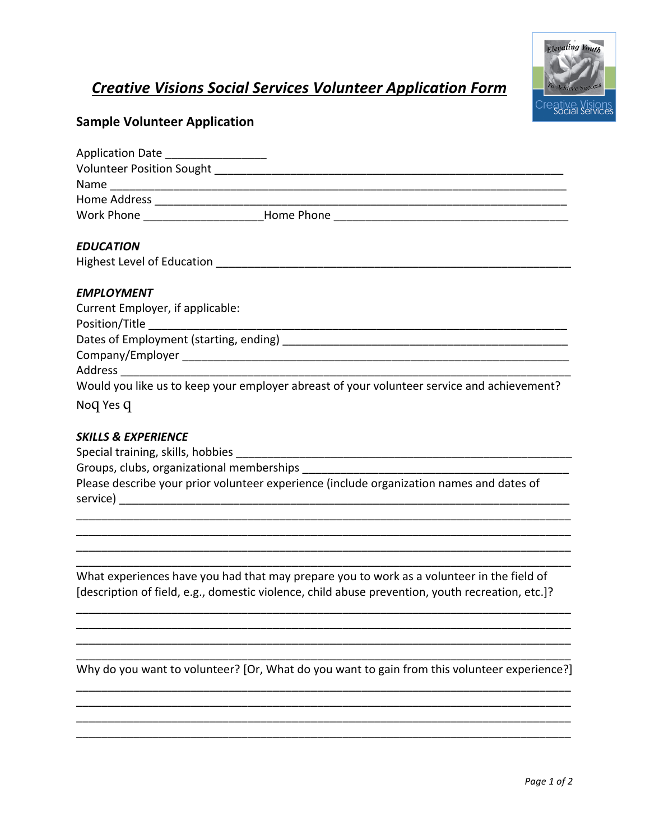## **Creative Visions Social Services Volunteer Application Form**



## **Sample Volunteer Application**

| Application Date __________________       |                                                                                            |  |
|-------------------------------------------|--------------------------------------------------------------------------------------------|--|
|                                           |                                                                                            |  |
|                                           |                                                                                            |  |
|                                           |                                                                                            |  |
|                                           | Work Phone __________________________Home Phone ________________________________           |  |
| <b>EDUCATION</b>                          |                                                                                            |  |
|                                           |                                                                                            |  |
| <b>EMPLOYMENT</b>                         |                                                                                            |  |
| Current Employer, if applicable:          |                                                                                            |  |
|                                           |                                                                                            |  |
|                                           |                                                                                            |  |
|                                           |                                                                                            |  |
|                                           |                                                                                            |  |
|                                           | Would you like us to keep your employer abreast of your volunteer service and achievement? |  |
| Noq Yes q                                 |                                                                                            |  |
| <b>SKILLS &amp; EXPERIENCE</b>            |                                                                                            |  |
|                                           |                                                                                            |  |
| Groups, clubs, organizational memberships |                                                                                            |  |

Please describe your prior volunteer experience (include organization names and dates of 

What experiences have you had that may prepare you to work as a volunteer in the field of [description of field, e.g., domestic violence, child abuse prevention, youth recreation, etc.]?

Why do you want to volunteer? [Or, What do you want to gain from this volunteer experience?]